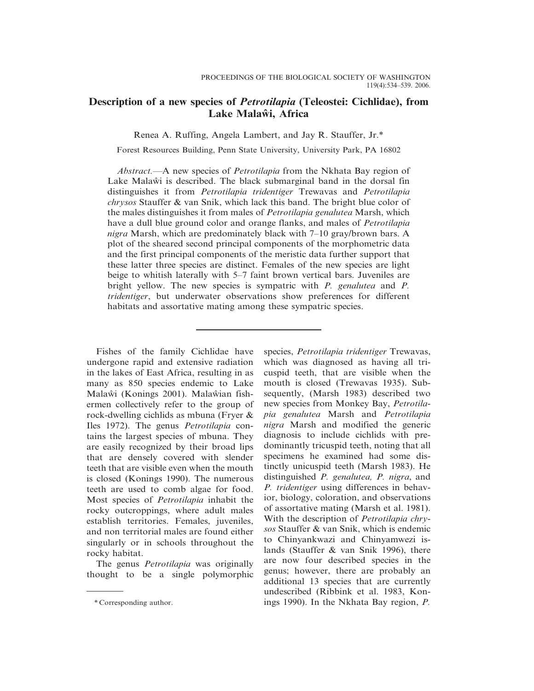# Description of a new species of *Petrotilapia* (Teleostei: Cichlidae), from Lake Malaŵi, Africa

Renea A. Ruffing, Angela Lambert, and Jay R. Stauffer, Jr.\*

Forest Resources Building, Penn State University, University Park, PA 16802

Abstract.—A new species of *Petrotilapia* from the Nkhata Bay region of Lake Malaw<sup>i</sup> is described. The black submarginal band in the dorsal fin distinguishes it from Petrotilapia tridentiger Trewavas and Petrotilapia chrysos Stauffer & van Snik, which lack this band. The bright blue color of the males distinguishes it from males of Petrotilapia genalutea Marsh, which have a dull blue ground color and orange flanks, and males of *Petrotilapia* nigra Marsh, which are predominately black with 7–10 gray/brown bars. A plot of the sheared second principal components of the morphometric data and the first principal components of the meristic data further support that these latter three species are distinct. Females of the new species are light beige to whitish laterally with 5–7 faint brown vertical bars. Juveniles are bright yellow. The new species is sympatric with P. genalutea and P. tridentiger, but underwater observations show preferences for different habitats and assortative mating among these sympatric species.

Fishes of the family Cichlidae have undergone rapid and extensive radiation in the lakes of East Africa, resulting in as many as 850 species endemic to Lake Malawi (Konings 2001). Malawian fishermen collectively refer to the group of rock-dwelling cichlids as mbuna (Fryer & Iles 1972). The genus Petrotilapia contains the largest species of mbuna. They are easily recognized by their broad lips that are densely covered with slender teeth that are visible even when the mouth is closed (Konings 1990). The numerous teeth are used to comb algae for food. Most species of Petrotilapia inhabit the rocky outcroppings, where adult males establish territories. Females, juveniles, and non territorial males are found either singularly or in schools throughout the rocky habitat.

The genus *Petrotilapia* was originally thought to be a single polymorphic

species, Petrotilapia tridentiger Trewavas, which was diagnosed as having all tricuspid teeth, that are visible when the mouth is closed (Trewavas 1935). Subsequently, (Marsh 1983) described two new species from Monkey Bay, Petrotilapia genalutea Marsh and Petrotilapia nigra Marsh and modified the generic diagnosis to include cichlids with predominantly tricuspid teeth, noting that all specimens he examined had some distinctly unicuspid teeth (Marsh 1983). He distinguished P. genalutea, P. nigra, and P. tridentiger using differences in behavior, biology, coloration, and observations of assortative mating (Marsh et al. 1981). With the description of *Petrotilapia chry*sos Stauffer & van Snik, which is endemic to Chinyankwazi and Chinyamwezi islands (Stauffer & van Snik 1996), there are now four described species in the genus; however, there are probably an additional 13 species that are currently undescribed (Ribbink et al. 1983, Kon- \* Corresponding author. ings 1990). In the Nkhata Bay region, P.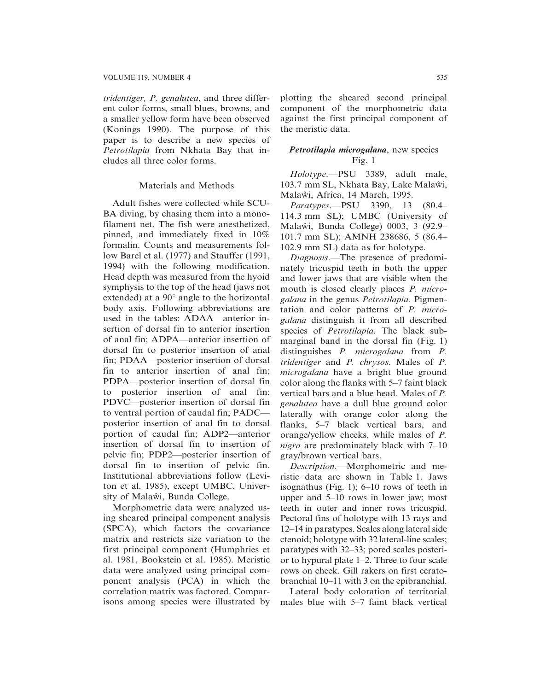tridentiger, P. genalutea, and three different color forms, small blues, browns, and a smaller yellow form have been observed (Konings 1990). The purpose of this paper is to describe a new species of Petrotilapia from Nkhata Bay that includes all three color forms.

### Materials and Methods

Adult fishes were collected while SCU-BA diving, by chasing them into a monofilament net. The fish were anesthetized, pinned, and immediately fixed in 10% formalin. Counts and measurements follow Barel et al. (1977) and Stauffer (1991, 1994) with the following modification. Head depth was measured from the hyoid symphysis to the top of the head (jaws not extended) at a  $90^\circ$  angle to the horizontal body axis. Following abbreviations are used in the tables: ADAA—anterior insertion of dorsal fin to anterior insertion of anal fin; ADPA—anterior insertion of dorsal fin to posterior insertion of anal fin; PDAA—posterior insertion of dorsal fin to anterior insertion of anal fin; PDPA—posterior insertion of dorsal fin to posterior insertion of anal fin; PDVC—posterior insertion of dorsal fin to ventral portion of caudal fin; PADC posterior insertion of anal fin to dorsal portion of caudal fin; ADP2—anterior insertion of dorsal fin to insertion of pelvic fin; PDP2—posterior insertion of dorsal fin to insertion of pelvic fin. Institutional abbreviations follow (Leviton et al. 1985), except UMBC, University of Malaŵi, Bunda College.

Morphometric data were analyzed using sheared principal component analysis (SPCA), which factors the covariance matrix and restricts size variation to the first principal component (Humphries et al. 1981, Bookstein et al. 1985). Meristic data were analyzed using principal component analysis (PCA) in which the correlation matrix was factored. Comparisons among species were illustrated by plotting the sheared second principal component of the morphometric data against the first principal component of the meristic data.

### Petrotilapia microgalana, new species Fig. 1

Holotype.—PSU 3389, adult male, 103.7 mm SL, Nkhata Bay, Lake Malaŵi, Malaŵi, Africa, 14 March, 1995.

Paratypes.—PSU 3390, 13 (80.4– 114.3 mm SL); UMBC (University of Malaw̃i, Bunda College) 0003, 3 (92.9– 101.7 mm SL); AMNH 238686, 5 (86.4– 102.9 mm SL) data as for holotype.

Diagnosis.—The presence of predominately tricuspid teeth in both the upper and lower jaws that are visible when the mouth is closed clearly places P. microgalana in the genus Petrotilapia. Pigmentation and color patterns of P. microgalana distinguish it from all described species of Petrotilapia. The black submarginal band in the dorsal fin (Fig. 1) distinguishes *P. microgalana* from *P.* tridentiger and P. chrysos. Males of P. microgalana have a bright blue ground color along the flanks with 5–7 faint black vertical bars and a blue head. Males of P. genalutea have a dull blue ground color laterally with orange color along the flanks, 5–7 black vertical bars, and orange/yellow cheeks, while males of P. nigra are predominately black with 7–10 gray/brown vertical bars.

Description.—Morphometric and meristic data are shown in Table 1. Jaws isognathus (Fig. 1); 6–10 rows of teeth in upper and 5–10 rows in lower jaw; most teeth in outer and inner rows tricuspid. Pectoral fins of holotype with 13 rays and 12–14 in paratypes. Scales along lateral side ctenoid; holotype with 32 lateral-line scales; paratypes with 32–33; pored scales posterior to hypural plate 1–2. Three to four scale rows on cheek. Gill rakers on first ceratobranchial 10–11 with 3 on the epibranchial.

Lateral body coloration of territorial males blue with 5–7 faint black vertical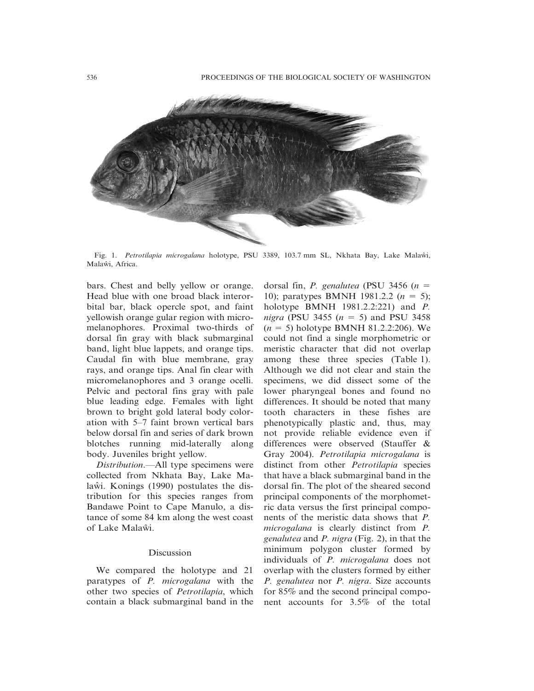

Fig. 1. Petrotilapia microgalana holotype, PSU 3389, 103.7 mm SL, Nkhata Bay, Lake Malaŵi, Malaŵi, Africa.

bars. Chest and belly yellow or orange. Head blue with one broad black interorbital bar, black opercle spot, and faint yellowish orange gular region with micromelanophores. Proximal two-thirds of dorsal fin gray with black submarginal band, light blue lappets, and orange tips. Caudal fin with blue membrane, gray rays, and orange tips. Anal fin clear with micromelanophores and 3 orange ocelli. Pelvic and pectoral fins gray with pale blue leading edge. Females with light brown to bright gold lateral body coloration with 5–7 faint brown vertical bars below dorsal fin and series of dark brown blotches running mid-laterally along body. Juveniles bright yellow.

Distribution.—All type specimens were collected from Nkhata Bay, Lake Malaw̃i. Konings (1990) postulates the distribution for this species ranges from Bandawe Point to Cape Manulo, a distance of some 84 km along the west coast of Lake Malawi.

### Discussion

We compared the holotype and 21 paratypes of P. microgalana with the other two species of Petrotilapia, which contain a black submarginal band in the dorsal fin, *P. genalutea* (PSU 3456 ( $n =$ 10); paratypes BMNH 1981.2.2  $(n = 5)$ ; holotype BMNH 1981.2.2:221) and P. *nigra* (PSU 3455 ( $n = 5$ ) and PSU 3458  $(n = 5)$  holotype BMNH 81.2.2:206). We could not find a single morphometric or meristic character that did not overlap among these three species (Table 1). Although we did not clear and stain the specimens, we did dissect some of the lower pharyngeal bones and found no differences. It should be noted that many tooth characters in these fishes are phenotypically plastic and, thus, may not provide reliable evidence even if differences were observed (Stauffer & Gray 2004). Petrotilapia microgalana is distinct from other Petrotilapia species that have a black submarginal band in the dorsal fin. The plot of the sheared second principal components of the morphometric data versus the first principal components of the meristic data shows that P. microgalana is clearly distinct from P. genalutea and P. nigra (Fig. 2), in that the minimum polygon cluster formed by individuals of P. microgalana does not overlap with the clusters formed by either P. genalutea nor P. nigra. Size accounts for 85% and the second principal component accounts for 3.5% of the total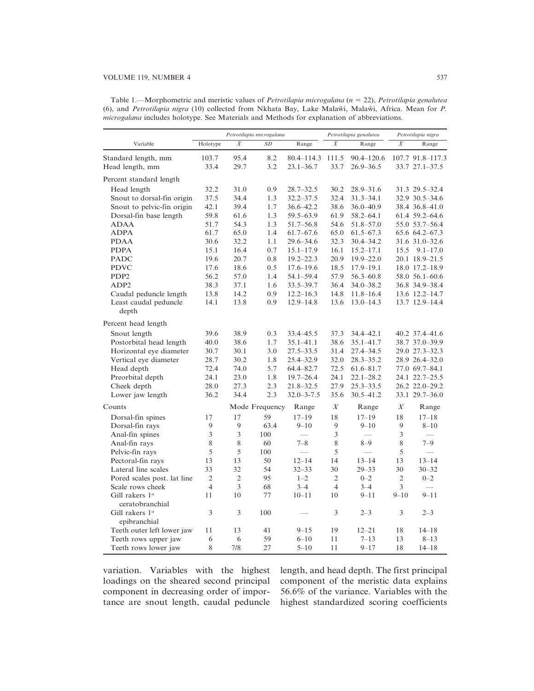## VOLUME 119, NUMBER 4 537

| Table 1.—Morphometric and meristic values of <i>Petrotilapia microgalana</i> ( $n = 22$ ), <i>Petrotilapia genalutea</i> |  |
|--------------------------------------------------------------------------------------------------------------------------|--|
| (6), and <i>Petrotilapia nigra</i> (10) collected from Nkhata Bay, Lake Malawi, Malawi, Africa. Mean for P.              |  |
| <i>microgalana</i> includes holotype. See Materials and Methods for explanation of abbreviations.                        |  |

| Variable                    | Petrotilapia microgalana |                |                 |                  | Petrotilapia genalutea |               | Petrotilapia nigra |                  |
|-----------------------------|--------------------------|----------------|-----------------|------------------|------------------------|---------------|--------------------|------------------|
|                             | Holotype                 | $\bar{X}$      | $\overline{SD}$ | Range            | $\bar{X}$              | Range         | $\bar{X}$          | Range            |
| Standard length, mm         | 103.7                    | 95.4           | 8.2             | 80.4-114.3 111.5 |                        | 90.4-120.6    |                    | 107.7 91.8-117.3 |
| Head length, mm             | 33.4                     | 29.7           | 3.2             | $23.1 - 36.7$    | 33.7                   | $26.9 - 36.5$ |                    | 33.7 27.1 - 37.5 |
| Percent standard length     |                          |                |                 |                  |                        |               |                    |                  |
| Head length                 | 32.2                     | 31.0           | 0.9             | $28.7 - 32.5$    | 30.2                   | $28.9 - 31.6$ |                    | 31.3 29.5-32.4   |
| Snout to dorsal-fin origin  | 37.5                     | 34.4           | 1.3             | $32.2 - 37.5$    | 32.4                   | $31.3 - 34.1$ |                    | 32.9 30.5 - 34.6 |
| Snout to pelvic-fin origin  | 42.1                     | 39.4           | 1.7             | $36.6 - 42.2$    | 38.6                   | 36.0-40.9     |                    | 38.4 36.8-41.0   |
| Dorsal-fin base length      | 59.8                     | 61.6           | 1.3             | $59.5 - 63.9$    | 61.9                   | $58.2 - 64.1$ |                    | 61.4 59.2 - 64.6 |
| <b>ADAA</b>                 | 51.7                     | 54.3           | 1.3             | $51.7 - 56.8$    | 54.6                   | $51.8 - 57.0$ |                    | 55.0 53.7-56.4   |
| <b>ADPA</b>                 | 61.7                     | 65.0           | 1.4             | $61.7 - 67.6$    | 65.0                   | $61.5 - 67.3$ |                    | 65.6 64.2 - 67.3 |
| <b>PDAA</b>                 | 30.6                     | 32.2           | 1.1             | $29.6 - 34.6$    | 32.3                   | $30.4 - 34.2$ |                    | 31.6 31.0 - 32.6 |
| <b>PDPA</b>                 | 15.1                     | 16.4           | 0.7             | $15.1 - 17.9$    | 16.1                   | $15.2 - 17.1$ | 15.5               | $9.1 - 17.0$     |
| <b>PADC</b>                 | 19.6                     | 20.7           | 0.8             | $19.2 - 22.3$    | 20.9                   | $19.9 - 22.0$ |                    | 20.1 18.9-21.5   |
| <b>PDVC</b>                 | 17.6                     | 18.6           | 0.5             | $17.6 - 19.6$    | 18.5                   | $17.9 - 19.1$ |                    | 18.0 17.2-18.9   |
| PDP <sub>2</sub>            | 56.2                     | 57.0           | 1.4             | $54.1 - 59.4$    | 57.9                   | $56.3 - 60.8$ |                    | 58.0 56.1 - 60.6 |
| ADP <sub>2</sub>            | 38.3                     | 37.1           | 1.6             | $33.5 - 39.7$    | 36.4                   | $34.0 - 38.2$ |                    | 36.8 34.9 - 38.4 |
| Caudal peduncle length      | 13.8                     | 14.2           | 0.9             | $12.2 - 16.3$    | 14.8                   | $11.8 - 16.4$ |                    | 13.6 12.2-14.7   |
| Least caudal peduncle       | 14.1                     | 13.8           | 0.9             | $12.9 - 14.8$    | 13.6                   | $13.0 - 14.3$ |                    | 13.7 12.9 - 14.4 |
| depth                       |                          |                |                 |                  |                        |               |                    |                  |
| Percent head length         |                          |                |                 |                  |                        |               |                    |                  |
| Snout length                | 39.6                     | 38.9           | 0.3             | 33.4 45.5        | 37.3                   | 34.4-42.1     |                    | 40.2 37.4 41.6   |
| Postorbital head length     | 40.0                     | 38.6           | 1.7             | $35.1 - 41.1$    | 38.6                   | $35.1 - 41.7$ |                    | 38.7 37.0 - 39.9 |
| Horizontal eye diameter     | 30.7                     | 30.1           | 3.0             | $27.5 - 33.5$    | 31.4                   | $27.4 - 34.5$ |                    | 29.0 27.3-32.3   |
| Vertical eye diameter       | 28.7                     | 30.2           | 1.8             | 25.4 - 32.9      | 32.0                   | $28.3 - 35.2$ |                    | 28.9 26.4 - 32.0 |
| Head depth                  | 72.4                     | 74.0           | 5.7             | 64.4 - 82.7      | 72.5                   | $61.6 - 81.7$ |                    | 77.0 69.7-84.1   |
| Preorbital depth            | 24.1                     | 23.0           | 1.8             | $19.7 - 26.4$    | 24.1                   | $22.1 - 28.2$ |                    | 24.1 22.7-25.5   |
| Cheek depth                 | 28.0                     | 27.3           | 2.3             | 21.8-32.5        | 27.9                   | $25.3 - 33.5$ |                    | 26.2 22.0-29.2   |
| Lower jaw length            | 36.2                     | 34.4           | 2.3             | $32.0 - 3 - 7.5$ | 35.6                   | $30.5 - 41.2$ |                    | 33.1 29.7-36.0   |
| Counts                      |                          |                | Mode Frequency  | Range            | X                      | Range         | X                  | Range            |
| Dorsal-fin spines           | 17                       | 17             | 59              | $17 - 19$        | 18                     | $17 - 19$     | 18                 | $17 - 18$        |
| Dorsal-fin rays             | 9                        | 9              | 63.4            | $9 - 10$         | 9                      | $9 - 10$      | 9                  | $8 - 10$         |
| Anal-fin spines             | 3                        | 3              | 100             |                  | 3                      |               | 3                  |                  |
| Anal-fin rays               | 8                        | 8              | 60              | $7 - 8$          | 8                      | $8 - 9$       | 8                  | $7 - 9$          |
| Pelvic-fin rays             | 5                        | 5              | 100             |                  | 5                      |               | 5                  |                  |
| Pectoral-fin rays           | 13                       | 13             | 50              | $12 - 14$        | 14                     | $13 - 14$     | 13                 | $13 - 14$        |
| Lateral line scales         | 33                       | 32             | 54              | $32 - 33$        | 30                     | $29 - 33$     | 30                 | $30 - 32$        |
| Pored scales post. lat line | $\overline{2}$           | $\overline{2}$ | 95              | $1 - 2$          | $\overline{2}$         | $0 - 2$       | $\mathfrak{2}$     | $0 - 2$          |
| Scale rows cheek            | $\overline{4}$           | 3              | 68              | $3 - 4$          | $\overline{4}$         | $3 - 4$       | 3                  |                  |
| Gill rakers 1st             | 11                       | 10             | 77              | $10 - 11$        | 10                     | $9 - 11$      | $9 - 10$           | $9 - 11$         |
| ceratobranchial             |                          |                |                 |                  |                        |               |                    |                  |
| Gill rakers 1st             | 3                        | 3              | 100             |                  | 3                      | $2 - 3$       | 3                  | $2 - 3$          |
| epibranchial                |                          |                |                 |                  |                        |               |                    |                  |
| Teeth outer left lower jaw  | 11                       | 13             | 41              | $9 - 15$         | 19                     | $12 - 21$     | 18                 | $14 - 18$        |
| Teeth rows upper jaw        | 6                        | 6              | 59              | $6 - 10$         | 11                     | $7 - 13$      | 13                 | $8 - 13$         |
| Teeth rows lower jaw        | 8                        | 7/8            | 27              | $5 - 10$         | 11                     | $9 - 17$      | 18                 | $14 - 18$        |

variation. Variables with the highest loadings on the sheared second principal component in decreasing order of importance are snout length, caudal peduncle length, and head depth. The first principal component of the meristic data explains 56.6% of the variance. Variables with the highest standardized scoring coefficients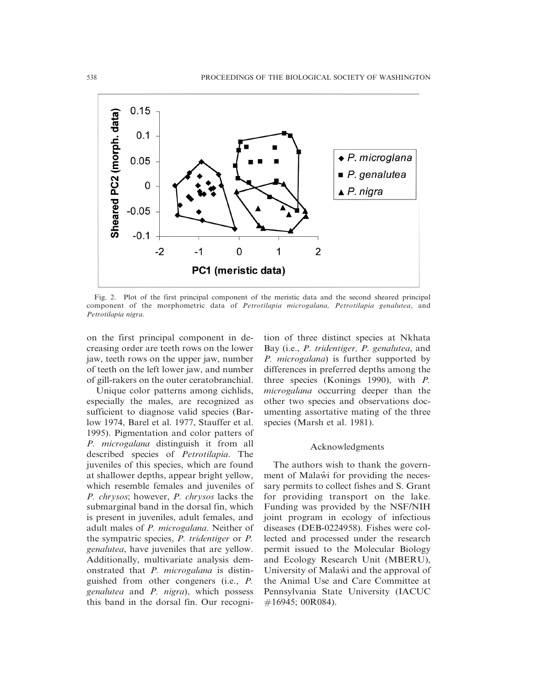

Fig. 2. Plot of the first principal component of the meristic data and the second sheared principal component of the morphometric data of Petrotilapia microgalana, Petrotilapia genalutea, and Petrotilapia nigra.

on the first principal component in decreasing order are teeth rows on the lower jaw, teeth rows on the upper jaw, number of teeth on the left lower jaw, and number of gill-rakers on the outer ceratobranchial.

Unique color patterns among cichlids, especially the males, are recognized as sufficient to diagnose valid species (Barlow 1974, Barel et al. 1977, Stauffer et al. 1995). Pigmentation and color patters of P. microgalana distinguish it from all described species of Petrotilapia. The juveniles of this species, which are found at shallower depths, appear bright yellow, which resemble females and juveniles of P. chrysos; however, P. chrysos lacks the submarginal band in the dorsal fin, which is present in juveniles, adult females, and adult males of P. microgalana. Neither of the sympatric species, P. tridentiger or P. genalutea, have juveniles that are yellow. Additionally, multivariate analysis demonstrated that P. microgalana is distinguished from other congeners (i.e., P. genalutea and P. nigra), which possess this band in the dorsal fin. Our recogni-

tion of three distinct species at Nkhata Bay (i.e., P. tridentiger, P. genalutea, and P. microgalana) is further supported by differences in preferred depths among the three species (Konings 1990), with P. microgalana occurring deeper than the other two species and observations documenting assortative mating of the three species (Marsh et al. 1981).

### Acknowledgments

The authors wish to thank the government of Malaw≀ for providing the necessary permits to collect fishes and S. Grant for providing transport on the lake. Funding was provided by the NSF/NIH joint program in ecology of infectious diseases (DEB-0224958). Fishes were collected and processed under the research permit issued to the Molecular Biology and Ecology Research Unit (MBERU), University of Malaŵi and the approval of the Animal Use and Care Committee at Pennsylvania State University (IACUC #16945; 00R084).